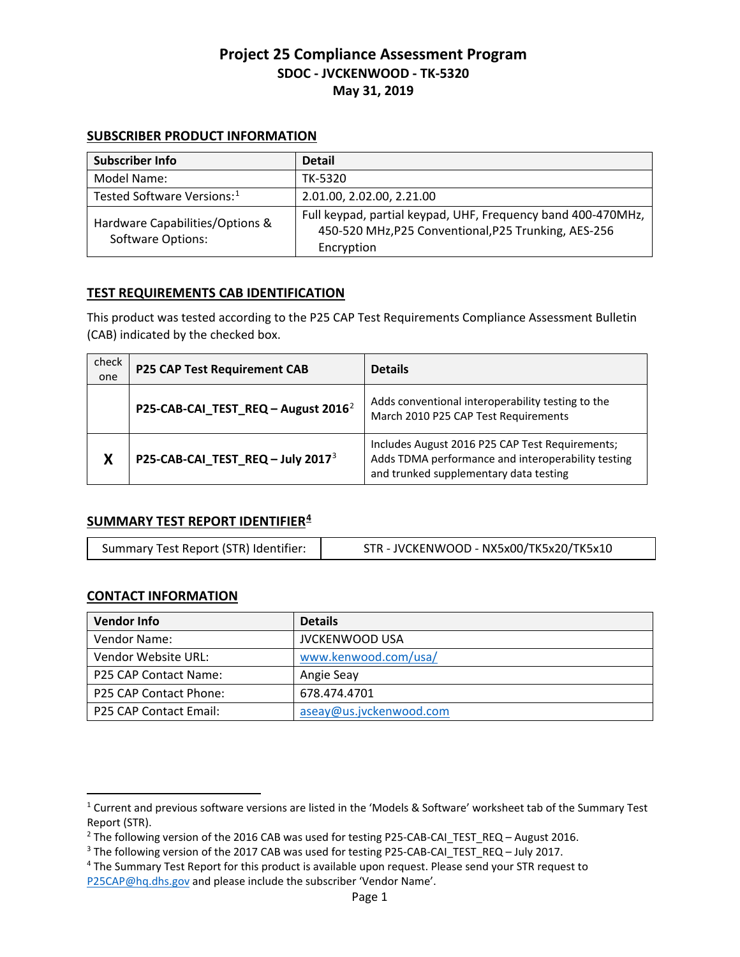#### **SUBSCRIBER PRODUCT INFORMATION**

| Subscriber Info                                             | <b>Detail</b>                                                                                                                      |
|-------------------------------------------------------------|------------------------------------------------------------------------------------------------------------------------------------|
| Model Name:                                                 | TK-5320                                                                                                                            |
| Tested Software Versions: <sup>1</sup>                      | 2.01.00, 2.02.00, 2.21.00                                                                                                          |
| Hardware Capabilities/Options &<br><b>Software Options:</b> | Full keypad, partial keypad, UHF, Frequency band 400-470MHz,<br>450-520 MHz, P25 Conventional, P25 Trunking, AES-256<br>Encryption |

#### **TEST REQUIREMENTS CAB IDENTIFICATION**

This product was tested according to the P25 CAP Test Requirements Compliance Assessment Bulletin (CAB) indicated by the checked box.

| check<br>one | <b>P25 CAP Test Requirement CAB</b>             | <b>Details</b>                                                                                                                                  |
|--------------|-------------------------------------------------|-------------------------------------------------------------------------------------------------------------------------------------------------|
|              | P25-CAB-CAI_TEST_REQ - August 2016 <sup>2</sup> | Adds conventional interoperability testing to the<br>March 2010 P25 CAP Test Requirements                                                       |
| X            | P25-CAB-CAI_TEST_REQ - July 2017 <sup>3</sup>   | Includes August 2016 P25 CAP Test Requirements;<br>Adds TDMA performance and interoperability testing<br>and trunked supplementary data testing |

### **SUMMARY TEST REPORT IDENTIFIER[4](#page-0-3)**

| Summary Test Report (STR) Identifier: | STR - JVCKENWOOD - NX5x00/TK5x20/TK5x10 |
|---------------------------------------|-----------------------------------------|
|                                       |                                         |

### **CONTACT INFORMATION**

 $\overline{a}$ 

| <b>Vendor Info</b>           | <b>Details</b>          |
|------------------------------|-------------------------|
| Vendor Name:                 | <b>JVCKENWOOD USA</b>   |
| Vendor Website URL:          | www.kenwood.com/usa/    |
| <b>P25 CAP Contact Name:</b> | Angie Seay              |
| P25 CAP Contact Phone:       | 678.474.4701            |
| P25 CAP Contact Email:       | aseay@us.jvckenwood.com |

<span id="page-0-0"></span><sup>1</sup> Current and previous software versions are listed in the 'Models & Software' worksheet tab of the Summary Test Report (STR).

<span id="page-0-1"></span><sup>&</sup>lt;sup>2</sup> The following version of the 2016 CAB was used for testing P25-CAB-CAI\_TEST\_REQ – August 2016.<br><sup>3</sup> The following version of the 2017 CAB was used for testing P25-CAB-CAI\_TEST\_REQ – July 2017.<br><sup>4</sup> The Summary Test Repo

<span id="page-0-2"></span>

<span id="page-0-3"></span>[P25CAP@hq.dhs.gov](mailto:P25CAP@hq.dhs.gov) and please include the subscriber 'Vendor Name'.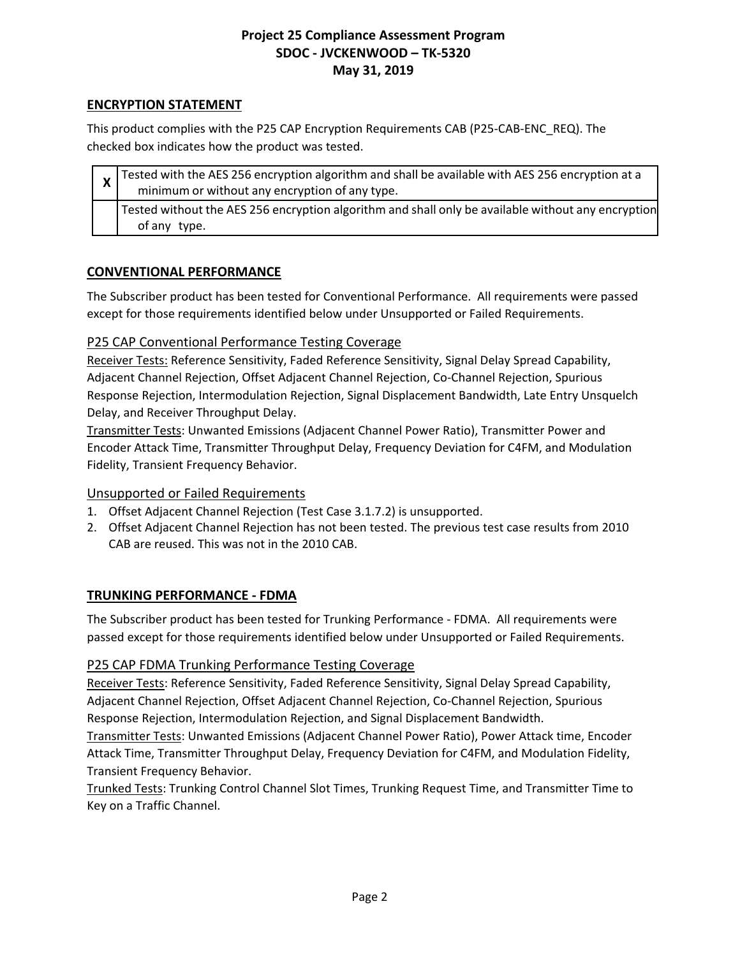## **ENCRYPTION STATEMENT**

This product complies with the P25 CAP Encryption Requirements CAB (P25-CAB-ENC\_REQ). The checked box indicates how the product was tested.

| $\frac{1}{x}$ Tested with the AES 256 encryption algorithm and shall be available with AES 256 encryption at a<br>minimum or without any encryption of any type. |
|------------------------------------------------------------------------------------------------------------------------------------------------------------------|
| Tested without the AES 256 encryption algorithm and shall only be available without any encryption<br>of any type.                                               |

### **CONVENTIONAL PERFORMANCE**

The Subscriber product has been tested for Conventional Performance. All requirements were passed except for those requirements identified below under Unsupported or Failed Requirements.

## P25 CAP Conventional Performance Testing Coverage

Receiver Tests: Reference Sensitivity, Faded Reference Sensitivity, Signal Delay Spread Capability, Adjacent Channel Rejection, Offset Adjacent Channel Rejection, Co-Channel Rejection, Spurious Response Rejection, Intermodulation Rejection, Signal Displacement Bandwidth, Late Entry Unsquelch Delay, and Receiver Throughput Delay.

Transmitter Tests: Unwanted Emissions (Adjacent Channel Power Ratio), Transmitter Power and Encoder Attack Time, Transmitter Throughput Delay, Frequency Deviation for C4FM, and Modulation Fidelity, Transient Frequency Behavior.

### Unsupported or Failed Requirements

- 1. Offset Adjacent Channel Rejection (Test Case 3.1.7.2) is unsupported.
- 2. Offset Adjacent Channel Rejection has not been tested. The previous test case results from 2010 CAB are reused. This was not in the 2010 CAB.

### **TRUNKING PERFORMANCE - FDMA**

The Subscriber product has been tested for Trunking Performance - FDMA. All requirements were passed except for those requirements identified below under Unsupported or Failed Requirements.

### P25 CAP FDMA Trunking Performance Testing Coverage

Receiver Tests: Reference Sensitivity, Faded Reference Sensitivity, Signal Delay Spread Capability, Adjacent Channel Rejection, Offset Adjacent Channel Rejection, Co-Channel Rejection, Spurious Response Rejection, Intermodulation Rejection, and Signal Displacement Bandwidth.

Transmitter Tests: Unwanted Emissions (Adjacent Channel Power Ratio), Power Attack time, Encoder Attack Time, Transmitter Throughput Delay, Frequency Deviation for C4FM, and Modulation Fidelity, Transient Frequency Behavior.

Trunked Tests: Trunking Control Channel Slot Times, Trunking Request Time, and Transmitter Time to Key on a Traffic Channel.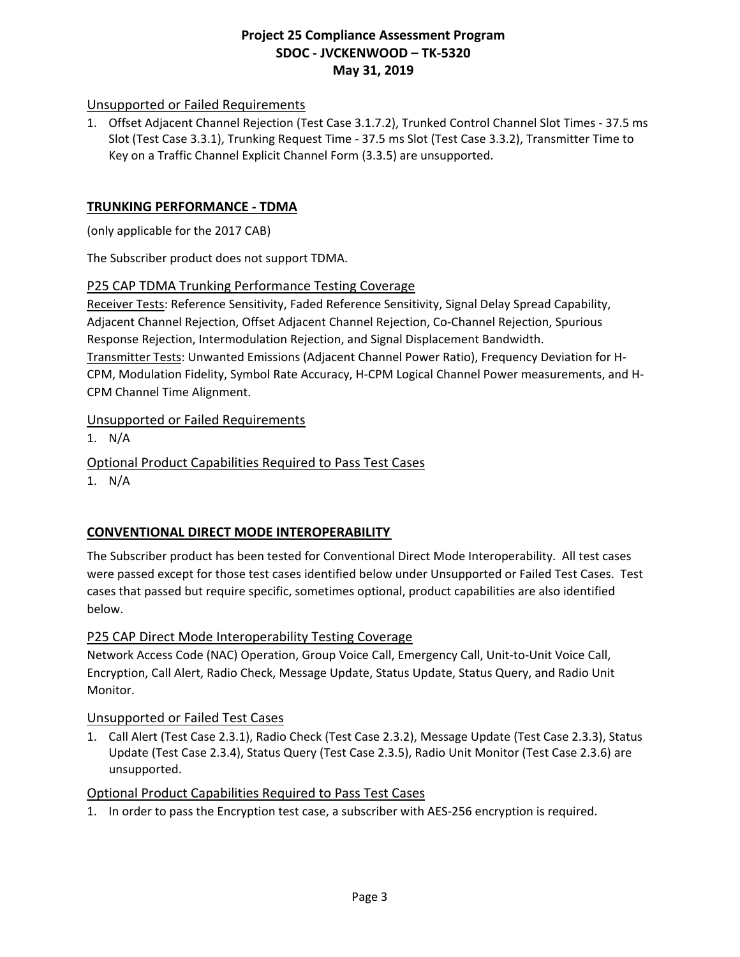## Unsupported or Failed Requirements

1. Offset Adjacent Channel Rejection (Test Case 3.1.7.2), Trunked Control Channel Slot Times - 37.5 ms Slot (Test Case 3.3.1), Trunking Request Time - 37.5 ms Slot (Test Case 3.3.2), Transmitter Time to Key on a Traffic Channel Explicit Channel Form (3.3.5) are unsupported.

### **TRUNKING PERFORMANCE - TDMA**

(only applicable for the 2017 CAB)

The Subscriber product does not support TDMA.

#### P25 CAP TDMA Trunking Performance Testing Coverage

Receiver Tests: Reference Sensitivity, Faded Reference Sensitivity, Signal Delay Spread Capability, Adjacent Channel Rejection, Offset Adjacent Channel Rejection, Co-Channel Rejection, Spurious Response Rejection, Intermodulation Rejection, and Signal Displacement Bandwidth. Transmitter Tests: Unwanted Emissions (Adjacent Channel Power Ratio), Frequency Deviation for H-CPM, Modulation Fidelity, Symbol Rate Accuracy, H-CPM Logical Channel Power measurements, and H-CPM Channel Time Alignment.

### Unsupported or Failed Requirements

1. N/A

Optional Product Capabilities Required to Pass Test Cases

1. N/A

# **CONVENTIONAL DIRECT MODE INTEROPERABILITY**

The Subscriber product has been tested for Conventional Direct Mode Interoperability. All test cases were passed except for those test cases identified below under Unsupported or Failed Test Cases. Test cases that passed but require specific, sometimes optional, product capabilities are also identified below.

### P25 CAP Direct Mode Interoperability Testing Coverage

Network Access Code (NAC) Operation, Group Voice Call, Emergency Call, Unit-to-Unit Voice Call, Encryption, Call Alert, Radio Check, Message Update, Status Update, Status Query, and Radio Unit Monitor.

### Unsupported or Failed Test Cases

1. Call Alert (Test Case 2.3.1), Radio Check (Test Case 2.3.2), Message Update (Test Case 2.3.3), Status Update (Test Case 2.3.4), Status Query (Test Case 2.3.5), Radio Unit Monitor (Test Case 2.3.6) are unsupported.

### Optional Product Capabilities Required to Pass Test Cases

1. In order to pass the Encryption test case, a subscriber with AES-256 encryption is required.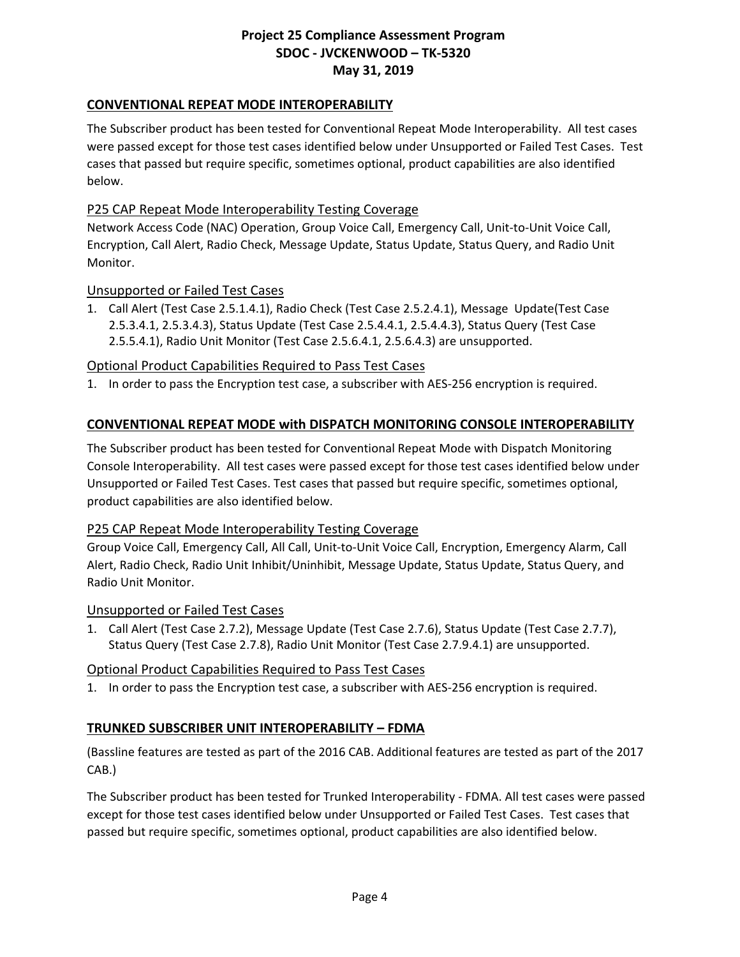## **CONVENTIONAL REPEAT MODE INTEROPERABILITY**

The Subscriber product has been tested for Conventional Repeat Mode Interoperability. All test cases were passed except for those test cases identified below under Unsupported or Failed Test Cases. Test cases that passed but require specific, sometimes optional, product capabilities are also identified below.

### P25 CAP Repeat Mode Interoperability Testing Coverage

Network Access Code (NAC) Operation, Group Voice Call, Emergency Call, Unit-to-Unit Voice Call, Encryption, Call Alert, Radio Check, Message Update, Status Update, Status Query, and Radio Unit Monitor.

#### Unsupported or Failed Test Cases

1. Call Alert (Test Case 2.5.1.4.1), Radio Check (Test Case 2.5.2.4.1), Message Update(Test Case 2.5.3.4.1, 2.5.3.4.3), Status Update (Test Case 2.5.4.4.1, 2.5.4.4.3), Status Query (Test Case 2.5.5.4.1), Radio Unit Monitor (Test Case 2.5.6.4.1, 2.5.6.4.3) are unsupported.

### Optional Product Capabilities Required to Pass Test Cases

1. In order to pass the Encryption test case, a subscriber with AES-256 encryption is required.

### **CONVENTIONAL REPEAT MODE with DISPATCH MONITORING CONSOLE INTEROPERABILITY**

The Subscriber product has been tested for Conventional Repeat Mode with Dispatch Monitoring Console Interoperability. All test cases were passed except for those test cases identified below under Unsupported or Failed Test Cases. Test cases that passed but require specific, sometimes optional, product capabilities are also identified below.

#### P25 CAP Repeat Mode Interoperability Testing Coverage

Group Voice Call, Emergency Call, All Call, Unit-to-Unit Voice Call, Encryption, Emergency Alarm, Call Alert, Radio Check, Radio Unit Inhibit/Uninhibit, Message Update, Status Update, Status Query, and Radio Unit Monitor.

#### Unsupported or Failed Test Cases

1. Call Alert (Test Case 2.7.2), Message Update (Test Case 2.7.6), Status Update (Test Case 2.7.7), Status Query (Test Case 2.7.8), Radio Unit Monitor (Test Case 2.7.9.4.1) are unsupported.

### Optional Product Capabilities Required to Pass Test Cases

1. In order to pass the Encryption test case, a subscriber with AES-256 encryption is required.

### **TRUNKED SUBSCRIBER UNIT INTEROPERABILITY – FDMA**

(Bassline features are tested as part of the 2016 CAB. Additional features are tested as part of the 2017 CAB.)

The Subscriber product has been tested for Trunked Interoperability - FDMA. All test cases were passed except for those test cases identified below under Unsupported or Failed Test Cases. Test cases that passed but require specific, sometimes optional, product capabilities are also identified below.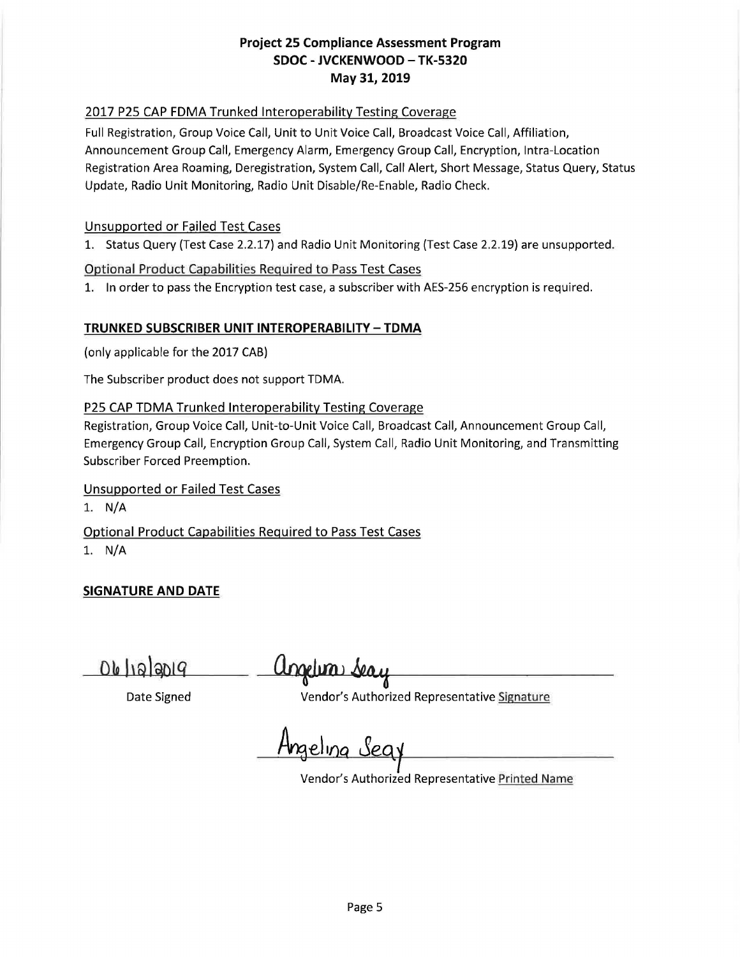### 2017 P25 CAP FDMA Trunked Interoperability Testing Coverage

Full Registration, Group Voice Call, Unit to Unit Voice Call, Broadcast Voice Call, Affiliation, Announcement Group Call, Emergency Alarm, Emergency Group Call, Encryption, Intra-Location Registration Area Roaming, Deregistration, System Call, Call Alert, Short Message, Status Query, Status Update, Radio Unit Monitoring, Radio Unit Disable/Re-Enable, Radio Check.

### Unsupported or Failed Test Cases

1. Status Query (Test Case 2.2.17) and Radio Unit Monitoring (Test Case 2.2.19) are unsupported.

## Optional Product Capabilities Required to Pass Test Cases

1. In order to pass the Encryption test case, a subscriber with AES-256 encryption is required.

## **TRUNKED SUBSCRIBER UNIT INTEROPERABILITY -TDMA**

(only applicable for the 2017 CAB)

The Subscriber product does not support TDMA.

## P25 CAP TDMA Trunked Interoperability Testing Coverage

Registration, Group Voice Call, Unit-to-Unit Voice Call, Broadcast Call, Announcement Group Call, Emergency Group Call, Encryption Group Call, System Call, Radio Unit Monitoring, and Transmitting Subscriber Forced Preemption.

# Unsupported or Failed Test Cases

1. N/A

Optional Product Capabilities Required to Pass Test Cases 1. N/A

# **SIGNATURE AND DATE**

06/12/2019

<u>Ungelim</u>

Date Signed **Vendor's Authorized Representative** Signature

Angeling Seq.

Vendor's Authorized Representative Printed Name